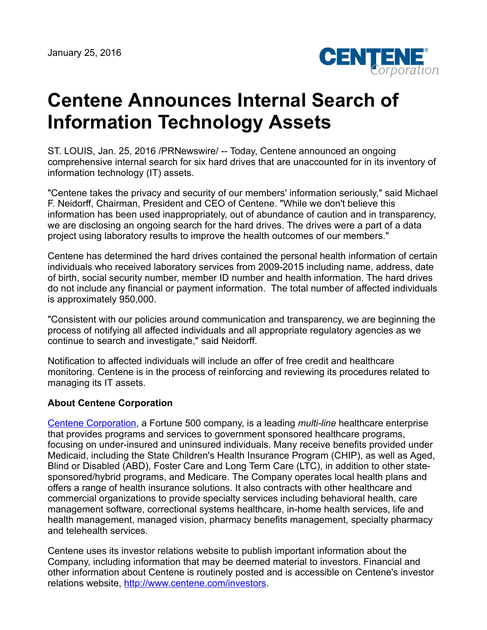

## **Centene Announces Internal Search of Information Technology Assets**

ST. LOUIS, Jan. 25, 2016 /PRNewswire/ -- Today, Centene announced an ongoing comprehensive internal search for six hard drives that are unaccounted for in its inventory of information technology (IT) assets.

"Centene takes the privacy and security of our members' information seriously," said Michael F. Neidorff, Chairman, President and CEO of Centene. "While we don't believe this information has been used inappropriately, out of abundance of caution and in transparency, we are disclosing an ongoing search for the hard drives. The drives were a part of a data project using laboratory results to improve the health outcomes of our members."

Centene has determined the hard drives contained the personal health information of certain individuals who received laboratory services from 2009-2015 including name, address, date of birth, social security number, member ID number and health information. The hard drives do not include any financial or payment information. The total number of affected individuals is approximately 950,000.

"Consistent with our policies around communication and transparency, we are beginning the process of notifying all affected individuals and all appropriate regulatory agencies as we continue to search and investigate," said Neidorff.

Notification to affected individuals will include an offer of free credit and healthcare monitoring. Centene is in the process of reinforcing and reviewing its procedures related to managing its IT assets.

## **About Centene Corporation**

[Centene Corporation,](http://www.centene.com/) a Fortune 500 company, is a leading *multi-line* healthcare enterprise that provides programs and services to government sponsored healthcare programs, focusing on under-insured and uninsured individuals. Many receive benefits provided under Medicaid, including the State Children's Health Insurance Program (CHIP), as well as Aged, Blind or Disabled (ABD), Foster Care and Long Term Care (LTC), in addition to other statesponsored/hybrid programs, and Medicare. The Company operates local health plans and offers a range of health insurance solutions. It also contracts with other healthcare and commercial organizations to provide specialty services including behavioral health, care management software, correctional systems healthcare, in-home health services, life and health management, managed vision, pharmacy benefits management, specialty pharmacy and telehealth services.

Centene uses its investor relations website to publish important information about the Company, including information that may be deemed material to investors. Financial and other information about Centene is routinely posted and is accessible on Centene's investor relations website, <http://www.centene.com/investors>.